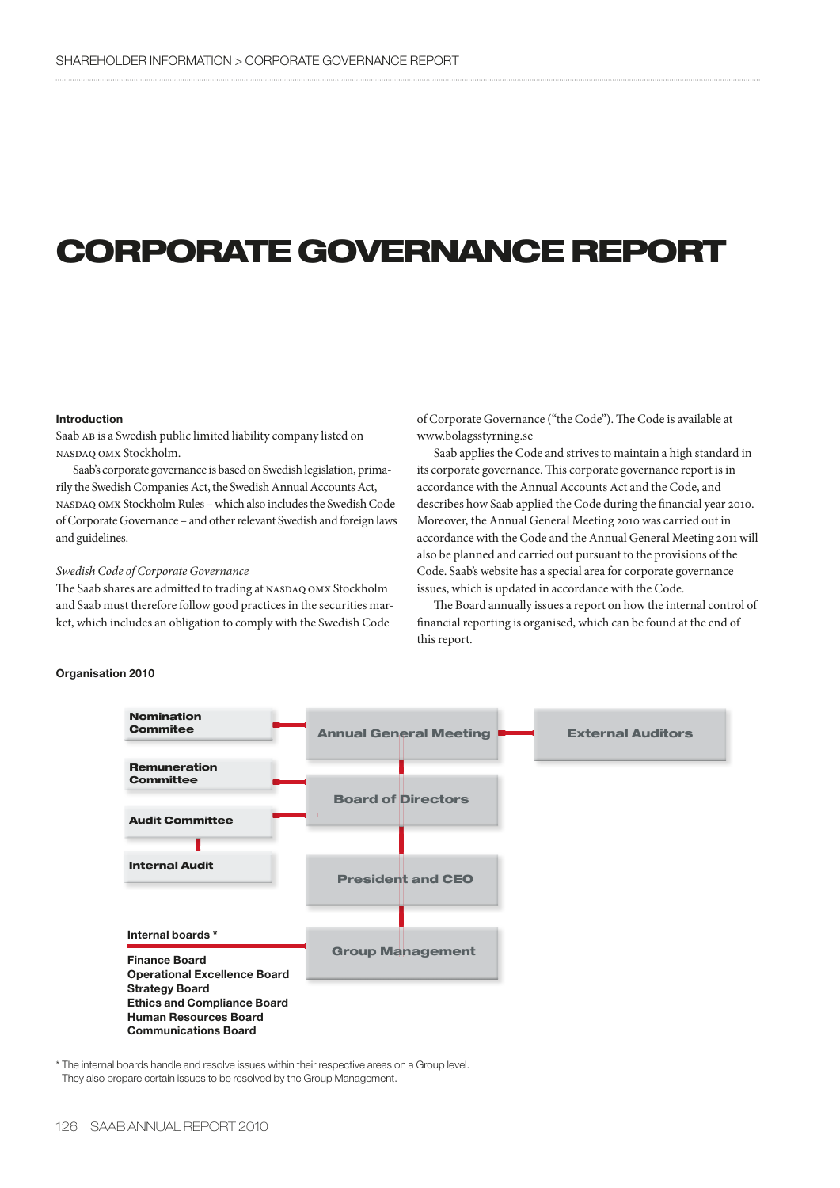# **CORPORATE GOVERNANCE REPORT**

## **Introduction**

Saab AB is a Swedish public limited liability company listed on nasdaq omx Stockholm.

Saab's corporate governance is based on Swedish legislation, primarily the Swedish Companies Act, the Swedish Annual Accounts Act, nasdaq omx Stockholm Rules – which also includes the Swedish Code of Corporate Governance – and other relevant Swedish and foreign laws and guidelines.

# *Swedish Code of Corporate Governance*

The Saab shares are admitted to trading at NASDAQ OMX Stockholm and Saab must therefore follow good practices in the securities market, which includes an obligation to comply with the Swedish Code

of Corporate Governance ("the Code"). The Code is available at www.bolagsstyrning.se

Saab applies the Code and strives to maintain a high standard in its corporate governance. This corporate governance report is in accordance with the Annual Accounts Act and the Code, and describes how Saab applied the Code during the financial year 2010. Moreover, the Annual General Meeting 2010 was carried out in accordance with the Code and the Annual General Meeting 2011 will also be planned and carried out pursuant to the provisions of the Code. Saab's website has a special area for corporate governance issues, which is updated in accordance with the Code.

The Board annually issues a report on how the internal control of financial reporting is organised, which can be found at the end of this report.



\* The internal boards handle and resolve issues within their respective areas on a Group level. They also prepare certain issues to be resolved by the Group Management.

# **Organisation 2010**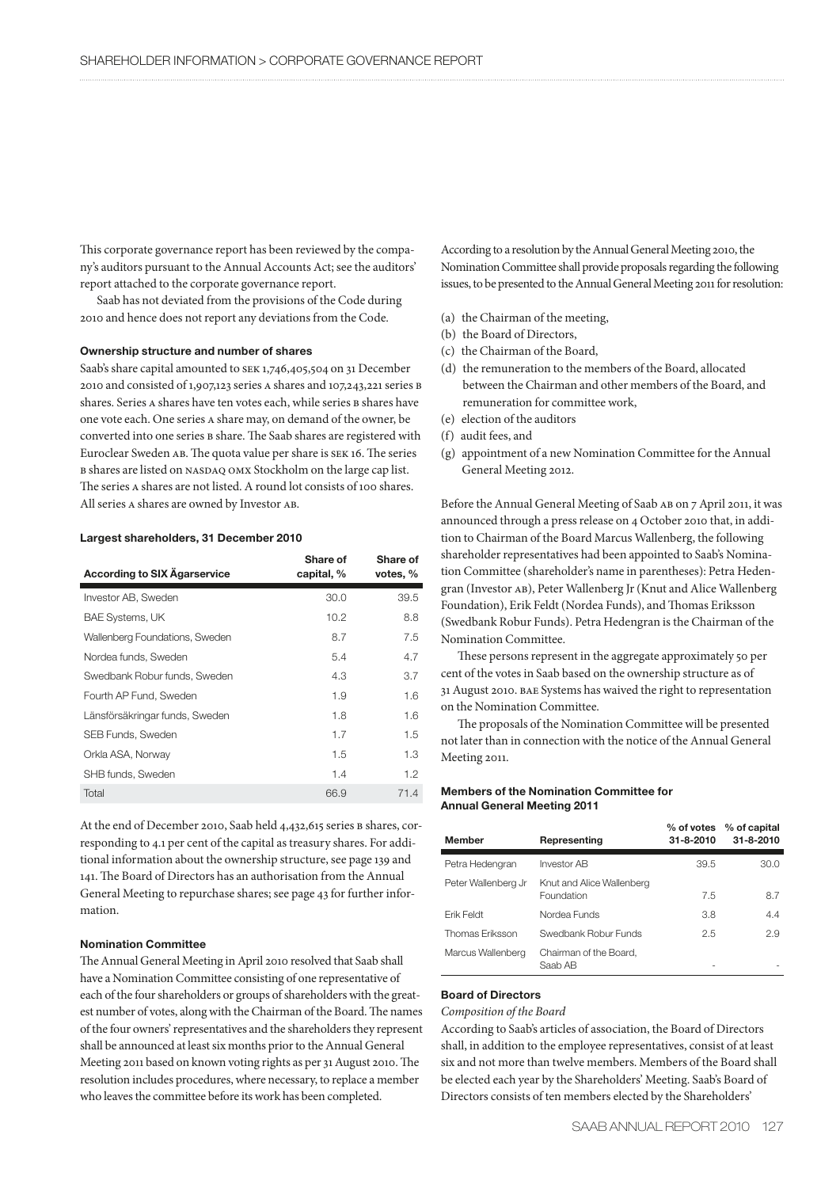This corporate governance report has been reviewed by the company's auditors pursuant to the Annual Accounts Act; see the auditors' report attached to the corporate governance report.

Saab has not deviated from the provisions of the Code during 2010 and hence does not report any deviations from the Code.

## **Ownership structure and number of shares**

Saab's share capital amounted to SEK 1,746,405,504 on 31 December 2010 and consisted of 1,907,123 series a shares and 107,243,221 series b shares. Series A shares have ten votes each, while series B shares have one vote each. One series a share may, on demand of the owner, be converted into one series b share. The Saab shares are registered with Euroclear Sweden ab. The quota value per share is sek 16. The series b shares are listed on nasdaq omx Stockholm on the large cap list. The series a shares are not listed. A round lot consists of 100 shares. All series a shares are owned by Investor ab.

### **Largest shareholders, 31 December 2010**

| <b>According to SIX Agarservice</b> | Share of<br>capital, % | Share of<br>votes, % |
|-------------------------------------|------------------------|----------------------|
| Investor AB, Sweden                 | 30.0                   | 39.5                 |
| BAE Systems, UK                     | 10.2                   | 8.8                  |
| Wallenberg Foundations, Sweden      | 8.7                    | 7.5                  |
| Nordea funds, Sweden                | 5.4                    | 4.7                  |
| Swedbank Robur funds, Sweden        | 4.3                    | 3.7                  |
| Fourth AP Fund, Sweden              | 1.9                    | 1.6                  |
| Länsförsäkringar funds, Sweden      | 1.8                    | 1.6                  |
| SEB Funds, Sweden                   | 1.7                    | 1.5                  |
| Orkla ASA, Norway                   | 1.5                    | 1.3                  |
| SHB funds, Sweden                   | 1.4                    | 1.2                  |
| Total                               | 66.9                   | 71.4                 |

At the end of December 2010, Saab held 4,432,615 series B shares, corresponding to 4.1 per cent of the capital as treasury shares. For additional information about the ownership structure, see page 139 and 141. The Board of Directors has an authorisation from the Annual General Meeting to repurchase shares; see page 43 for further information.

# **Nomination Committee**

The Annual General Meeting in April 2010 resolved that Saab shall have a Nomination Committee consisting of one representative of each of the four shareholders or groups of shareholders with the greatest number of votes, along with the Chairman of the Board. The names of the four owners' representatives and the shareholders they represent shall be announced at least six months prior to the Annual General Meeting 2011 based on known voting rights as per 31 August 2010. The resolution includes procedures, where necessary, to replace a member who leaves the committee before its work has been completed.

According to a resolution by the Annual General Meeting 2010, the Nomination Committee shall provide proposals regarding the following issues, to be presented to the Annual General Meeting 2011 for resolution:

- (a) the Chairman of the meeting,
- (b) the Board of Directors,
- (c) the Chairman of the Board,
- (d) the remuneration to the members of the Board, allocated between the Chairman and other members of the Board, and remuneration for committee work,
- (e) election of the auditors
- (f) audit fees, and
- (g) appointment of a new Nomination Committee for the Annual General Meeting 2012.

Before the Annual General Meeting of Saab ab on 7 April 2011, it was announced through a press release on 4 October 2010 that, in addition to Chairman of the Board Marcus Wallenberg, the following shareholder representatives had been appointed to Saab's Nomination Committee (shareholder's name in parentheses): Petra Hedengran (Investor ab), Peter Wallenberg Jr (Knut and Alice Wallenberg Foundation), Erik Feldt (Nordea Funds), and Thomas Eriksson (Swedbank Robur Funds). Petra Hedengran is the Chairman of the Nomination Committee.

These persons represent in the aggregate approximately 50 per cent of the votes in Saab based on the ownership structure as of 31 August 2010. bae Systems has waived the right to representation on the Nomination Committee.

The proposals of the Nomination Committee will be presented not later than in connection with the notice of the Annual General Meeting 2011.

# **Members of the Nomination Committee for Annual General Meeting 2011**

| <b>Member</b>       | Representing                            | $\%$ of votes<br>31-8-2010 | % of capital<br>$31 - 8 - 2010$ |
|---------------------|-----------------------------------------|----------------------------|---------------------------------|
| Petra Hedengran     | Investor AB                             | 39.5                       | 30.0                            |
| Peter Wallenberg Jr | Knut and Alice Wallenberg<br>Foundation | 7.5                        | 8.7                             |
| Erik Feldt          | Nordea Funds                            | 3.8                        | 4.4                             |
| Thomas Eriksson     | Swedbank Robur Funds                    | 2.5                        | 2.9                             |
| Marcus Wallenberg   | Chairman of the Board.<br>Saab AB       |                            |                                 |

## **Board of Directors**

# *Composition of the Board*

According to Saab's articles of association, the Board of Directors shall, in addition to the employee representatives, consist of at least six and not more than twelve members. Members of the Board shall be elected each year by the Shareholders' Meeting. Saab's Board of Directors consists of ten members elected by the Shareholders'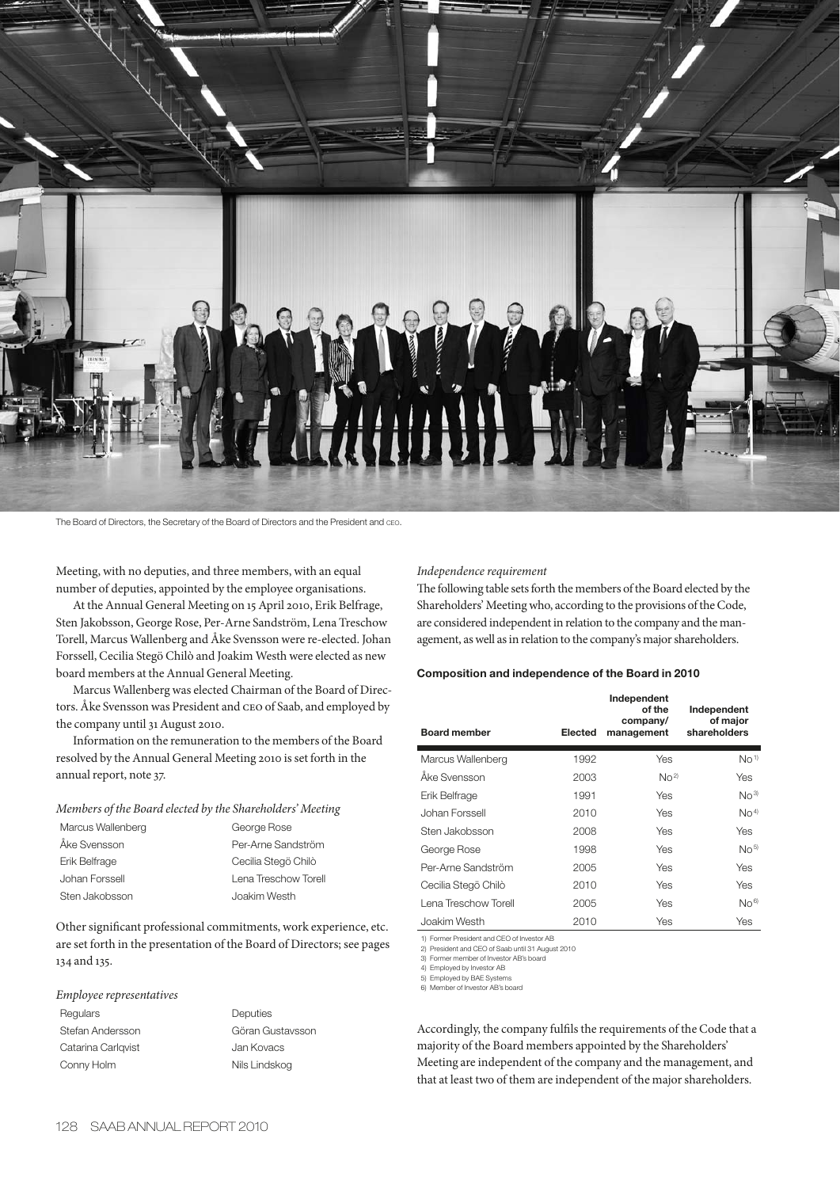

The Board of Directors, the Secretary of the Board of Directors and the President and CEO.

Meeting, with no deputies, and three members, with an equal number of deputies, appointed by the employee organisations.

At the Annual General Meeting on 15 April 2010, Erik Belfrage, Sten Jakobsson, George Rose, Per-Arne Sandström, Lena Treschow Torell, Marcus Wallenberg and Åke Svensson were re-elected. Johan Forssell, Cecilia Stegö Chilò and Joakim Westh were elected as new board members at the Annual General Meeting.

Marcus Wallenberg was elected Chairman of the Board of Directors. Åke Svensson was President and ceo of Saab, and employed by the company until 31 August 2010.

Information on the remuneration to the members of the Board resolved by the Annual General Meeting 2010 is set forth in the annual report, note 37.

*Members of the Board elected by the Shareholders' Meeting*

| Marcus Wallenberg | George Rose          |
|-------------------|----------------------|
| Åke Svensson      | Per-Arne Sandström   |
| Erik Belfrage     | Cecilia Stegö Chilò  |
| Johan Forssell    | Lena Treschow Torell |
| Sten Jakobsson    | Joakim Westh         |
|                   |                      |

Other significant professional commitments, work experience, etc. are set forth in the presentation of the Board of Directors; see pages 134 and 135.

## *Employee representatives*

Regulars **Deputies** Stefan Andersson Göran Gustavsson Catarina Carlqvist **Catarina Carlqvist** Jan Kovacs Conny Holm Nils Lindskog

# *Independence requirement*

The following table sets forth the members of the Board elected by the Shareholders' Meeting who, according to the provisions of the Code, are considered independent in relation to the company and the management, as well as in relation to the company's major shareholders.

# **Composition and independence of the Board in 2010**

| <b>Board member</b>  | <b>Elected</b> | Independent<br>of the<br>company/<br>management | Independent<br>of major<br>shareholders |
|----------------------|----------------|-------------------------------------------------|-----------------------------------------|
| Marcus Wallenberg    | 1992           | Yes                                             | No <sup>1</sup>                         |
| Åke Svensson         | 2003           | No <sup>2</sup>                                 | Yes                                     |
| Erik Belfrage        | 1991           | Yes                                             | No <sup>3</sup>                         |
| Johan Forssell       | 2010           | Yes                                             | No <sup>4</sup>                         |
| Sten Jakobsson       | 2008           | Yes                                             | <b>Yes</b>                              |
| George Rose          | 1998           | Yes                                             | No <sup>5</sup>                         |
| Per-Arne Sandström   | 2005           | Yes                                             | Yes                                     |
| Cecilia Stegö Chilò  | 2010           | Yes                                             | Yes                                     |
| Lena Treschow Torell | 2005           | Yes                                             | No <sup>6</sup>                         |
| Joakim Westh         | 2010           | Yes                                             | Yes                                     |

1) Former President and CEO of Investor AB 2) President and CEO of Saab until 31 August 2010

3) Former member of Investor AB's board

4) Employed by Investor AB

5) Employed by BAE System

6) Member of Investor AB's board

Accordingly, the company fulfils the requirements of the Code that a majority of the Board members appointed by the Shareholders' Meeting are independent of the company and the management, and that at least two of them are independent of the major shareholders.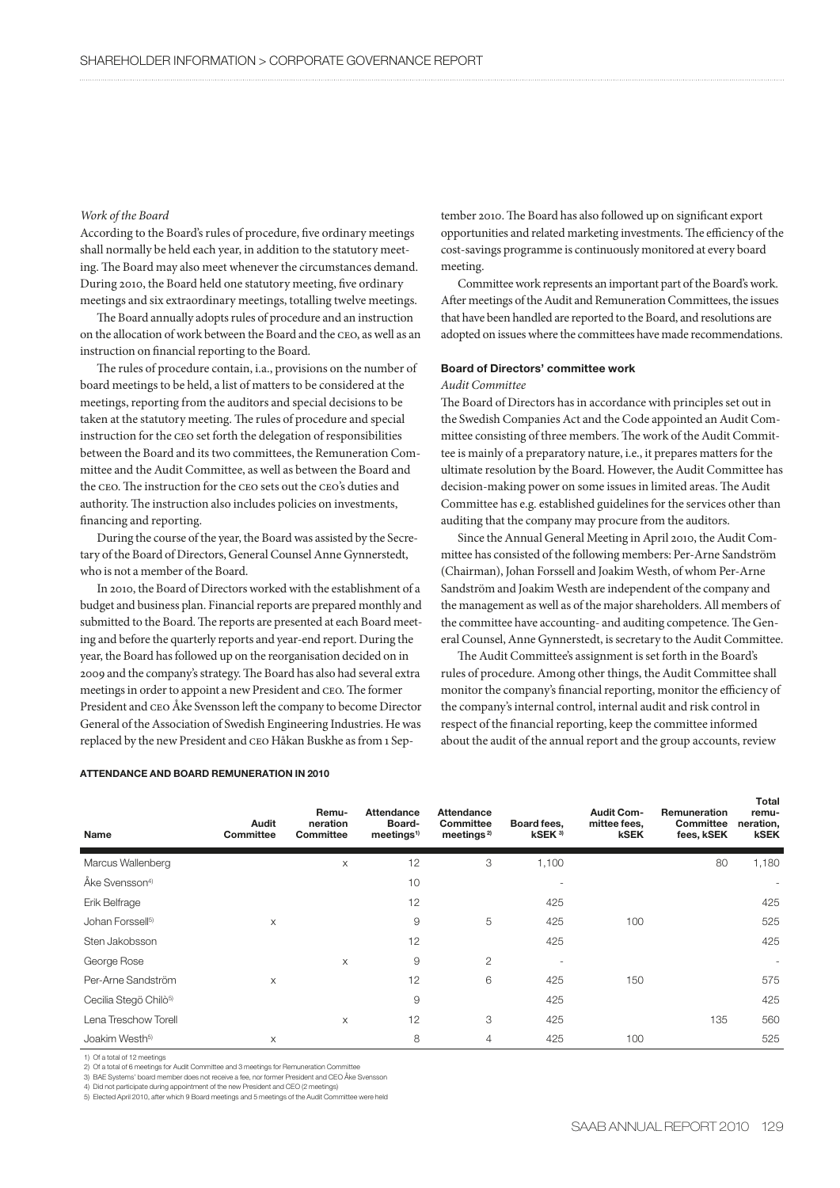# *Work of the Board*

According to the Board's rules of procedure, five ordinary meetings shall normally be held each year, in addition to the statutory meeting. The Board may also meet whenever the circumstances demand. During 2010, the Board held one statutory meeting, five ordinary meetings and six extraordinary meetings, totalling twelve meetings.

The Board annually adopts rules of procedure and an instruction on the allocation of work between the Board and the ceo, as well as an instruction on financial reporting to the Board.

The rules of procedure contain, i.a., provisions on the number of board meetings to be held, a list of matters to be considered at the meetings, reporting from the auditors and special decisions to be taken at the statutory meeting. The rules of procedure and special instruction for the ceo set forth the delegation of responsibilities between the Board and its two committees, the Remuneration Committee and the Audit Committee, as well as between the Board and the ceo. The instruction for the ceo sets out the ceo's duties and authority. The instruction also includes policies on investments, financing and reporting.

During the course of the year, the Board was assisted by the Secretary of the Board of Directors, General Counsel Anne Gynnerstedt, who is not a member of the Board.

In 2010, the Board of Directors worked with the establishment of a budget and business plan. Financial reports are prepared monthly and submitted to the Board. The reports are presented at each Board meeting and before the quarterly reports and year-end report. During the year, the Board has followed up on the reorganisation decided on in 2009 and the company's strategy. The Board has also had several extra meetings in order to appoint a new President and ceo. The former President and ceo Åke Svensson left the company to become Director General of the Association of Swedish Engineering Industries. He was replaced by the new President and ceo Håkan Buskhe as from 1 Sep-

## **ATTENDANCE AND BOARD REMUNERATION IN 2010**

tember 2010. The Board has also followed up on significant export opportunities and related marketing investments. The efficiency of the cost-savings programme is continuously monitored at every board meeting.

Committee work represents an important part of the Board's work. After meetings of the Audit and Remuneration Committees, the issues that have been handled are reported to the Board, and resolutions are adopted on issues where the committees have made recommendations.

# **Board of Directors' committee work**

#### *Audit Committee*

The Board of Directors has in accordance with principles set out in the Swedish Companies Act and the Code appointed an Audit Committee consisting of three members. The work of the Audit Committee is mainly of a preparatory nature, i.e., it prepares matters for the ultimate resolution by the Board. However, the Audit Committee has decision-making power on some issues in limited areas. The Audit Committee has e.g. established guidelines for the services other than auditing that the company may procure from the auditors.

Since the Annual General Meeting in April 2010, the Audit Committee has consisted of the following members: Per-Arne Sandström (Chairman), Johan Forssell and Joakim Westh, of whom Per-Arne Sandström and Joakim Westh are independent of the company and the management as well as of the major shareholders. All members of the committee have accounting- and auditing competence. The General Counsel, Anne Gynnerstedt, is secretary to the Audit Committee.

The Audit Committee's assignment is set forth in the Board's rules of procedure. Among other things, the Audit Committee shall monitor the company's financial reporting, monitor the efficiency of the company's internal control, internal audit and risk control in respect of the financial reporting, keep the committee informed about the audit of the annual report and the group accounts, review

| Name                              | Audit<br><b>Committee</b> | Remu-<br>neration<br>Committee | <b>Attendance</b><br>Board-<br>meetings <sup>1</sup> | <b>Attendance</b><br>Committee<br>meetings <sup>2)</sup> | Board fees,<br>kSEK <sup>3</sup> | <b>Audit Com-</b><br>mittee fees,<br>kSEK | Remuneration<br>Committee<br>fees, kSEK | remu-<br>neration,<br><b>kSEK</b> |
|-----------------------------------|---------------------------|--------------------------------|------------------------------------------------------|----------------------------------------------------------|----------------------------------|-------------------------------------------|-----------------------------------------|-----------------------------------|
| Marcus Wallenberg                 |                           | X                              | 12                                                   | 3                                                        | 1,100                            |                                           | 80                                      | 1,180                             |
| Åke Svensson <sup>4)</sup>        |                           |                                | 10                                                   |                                                          |                                  |                                           |                                         |                                   |
| Erik Belfrage                     |                           |                                | 12                                                   |                                                          | 425                              |                                           |                                         | 425                               |
| Johan Forssell <sup>5)</sup>      | X                         |                                | 9                                                    | 5                                                        | 425                              | 100                                       |                                         | 525                               |
| Sten Jakobsson                    |                           |                                | 12                                                   |                                                          | 425                              |                                           |                                         | 425                               |
| George Rose                       |                           | X                              | 9                                                    | $\overline{2}$                                           | ٠                                |                                           |                                         | $\overline{\phantom{a}}$          |
| Per-Arne Sandström                | X                         |                                | 12                                                   | 6                                                        | 425                              | 150                                       |                                         | 575                               |
| Cecilia Stegö Chilò <sup>5)</sup> |                           |                                | 9                                                    |                                                          | 425                              |                                           |                                         | 425                               |
| Lena Treschow Torell              |                           | $\times$                       | 12                                                   | 3                                                        | 425                              |                                           | 135                                     | 560                               |
| Joakim Westh <sup>5)</sup>        | X                         |                                | 8                                                    | 4                                                        | 425                              | 100                                       |                                         | 525                               |

1) Of a total of 12 meetings

2) Of a total of 6 meetings for Audit Committee and 3 meetings for Remuneration Committee

3) BAE Systems' board member does not receive a fee, nor former President and CEO Åke Svensson

4) Did not participate during appointment of the new President and CEO (2 meetings)

5) Elected April 2010, after which 9 Board meetings and 5 meetings of the Audit Committee were held

**Total**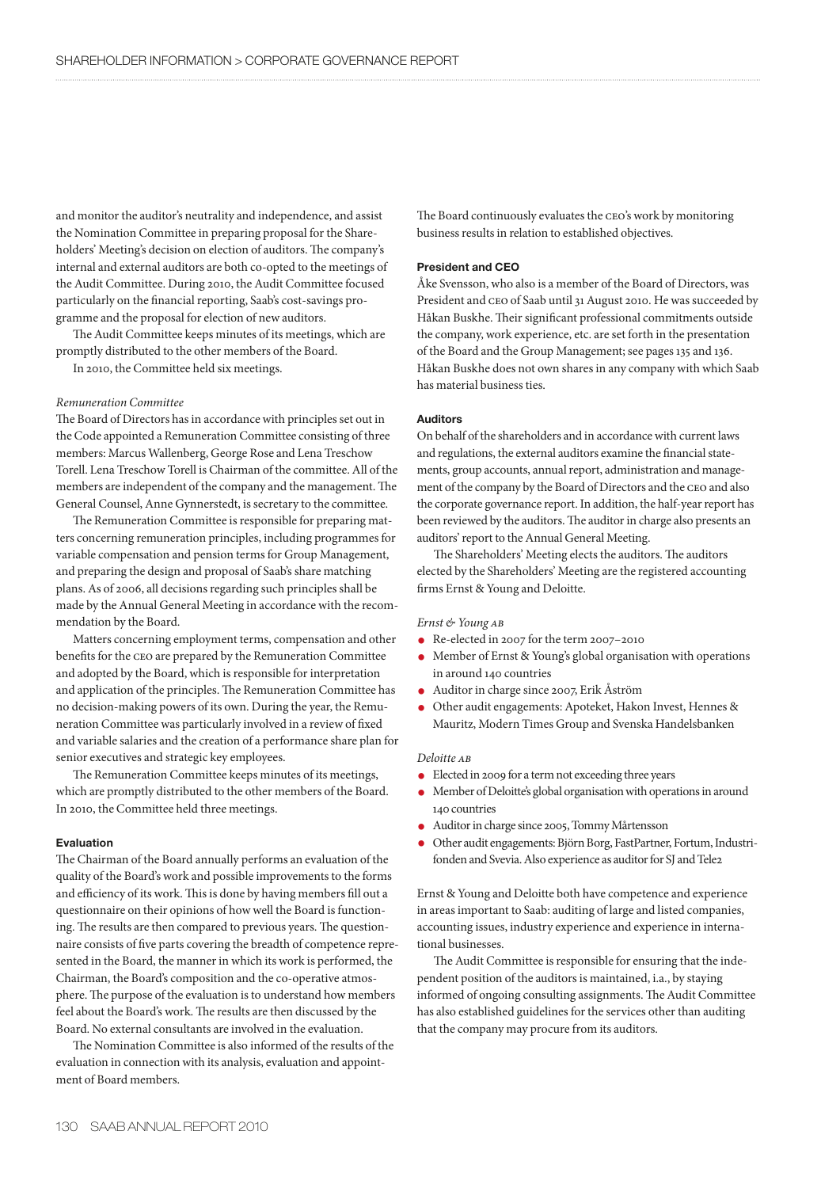and monitor the auditor's neutrality and independence, and assist the Nomination Committee in preparing proposal for the Shareholders' Meeting's decision on election of auditors. The company's internal and external auditors are both co-opted to the meetings of the Audit Committee. During 2010, the Audit Committee focused particularly on the financial reporting, Saab's cost-savings programme and the proposal for election of new auditors.

The Audit Committee keeps minutes of its meetings, which are promptly distributed to the other members of the Board.

In 2010, the Committee held six meetings.

## *Remuneration Committee*

The Board of Directors has in accordance with principles set out in the Code appointed a Remuneration Committee consisting of three members: Marcus Wallenberg, George Rose and Lena Treschow Torell. Lena Treschow Torell is Chairman of the committee. All of the members are independent of the company and the management. The General Counsel, Anne Gynnerstedt, is secretary to the committee.

The Remuneration Committee is responsible for preparing matters concerning remuneration principles, including programmes for variable compensation and pension terms for Group Management, and preparing the design and proposal of Saab's share matching plans. As of 2006, all decisions regarding such principles shall be made by the Annual General Meeting in accordance with the recommendation by the Board.

Matters concerning employment terms, compensation and other benefits for the ceo are prepared by the Remuneration Committee and adopted by the Board, which is responsible for interpretation and application of the principles. The Remuneration Committee has no decision-making powers of its own. During the year, the Remuneration Committee was particularly involved in a review of fixed and variable salaries and the creation of a performance share plan for senior executives and strategic key employees.

The Remuneration Committee keeps minutes of its meetings, which are promptly distributed to the other members of the Board. In 2010, the Committee held three meetings.

## **Evaluation**

The Chairman of the Board annually performs an evaluation of the quality of the Board's work and possible improvements to the forms and efficiency of its work. This is done by having members fill out a questionnaire on their opinions of how well the Board is functioning. The results are then compared to previous years. The questionnaire consists of five parts covering the breadth of competence represented in the Board, the manner in which its work is performed, the Chairman, the Board's composition and the co-operative atmosphere. The purpose of the evaluation is to understand how members feel about the Board's work. The results are then discussed by the Board. No external consultants are involved in the evaluation.

The Nomination Committee is also informed of the results of the evaluation in connection with its analysis, evaluation and appointment of Board members.

The Board continuously evaluates the ceo's work by monitoring business results in relation to established objectives.

# **President and CEO**

Åke Svensson, who also is a member of the Board of Directors, was President and ceo of Saab until 31 August 2010. He was succeeded by Håkan Buskhe. Their significant professional commitments outside the company, work experience, etc. are set forth in the presentation of the Board and the Group Management; see pages 135 and 136. Håkan Buskhe does not own shares in any company with which Saab has material business ties.

## **Auditors**

On behalf of the shareholders and in accordance with current laws and regulations, the external auditors examine the financial statements, group accounts, annual report, administration and management of the company by the Board of Directors and the ceo and also the corporate governance report. In addition, the half-year report has been reviewed by the auditors. The auditor in charge also presents an auditors' report to the Annual General Meeting.

The Shareholders' Meeting elects the auditors. The auditors elected by the Shareholders' Meeting are the registered accounting firms Ernst & Young and Deloitte.

## *Ernst & Young ab*

- Re-elected in 2007 for the term 2007–2010
- Member of Ernst & Young's global organisation with operations in around 140 countries
- Auditor in charge since 2007, Erik Åström<br>• Other audit engagements: Apoteket Hako
- Other audit engagements: Apoteket, Hakon Invest, Hennes & Mauritz, Modern Times Group and Svenska Handelsbanken

## *Deloitte ab*

- Elected in 2009 for a term not exceeding three years
- Member of Deloitte's global organisation with operations in around 140 countries
- Auditor in charge since 2005, Tommy Mårtensson
- Other audit engagements: Björn Borg, FastPartner, Fortum, Industrifonden and Svevia. Also experience as auditor for SJ and Tele2

Ernst & Young and Deloitte both have competence and experience in areas important to Saab: auditing of large and listed companies, accounting issues, industry experience and experience in international businesses.

The Audit Committee is responsible for ensuring that the independent position of the auditors is maintained, i.a., by staying informed of ongoing consulting assignments. The Audit Committee has also established guidelines for the services other than auditing that the company may procure from its auditors.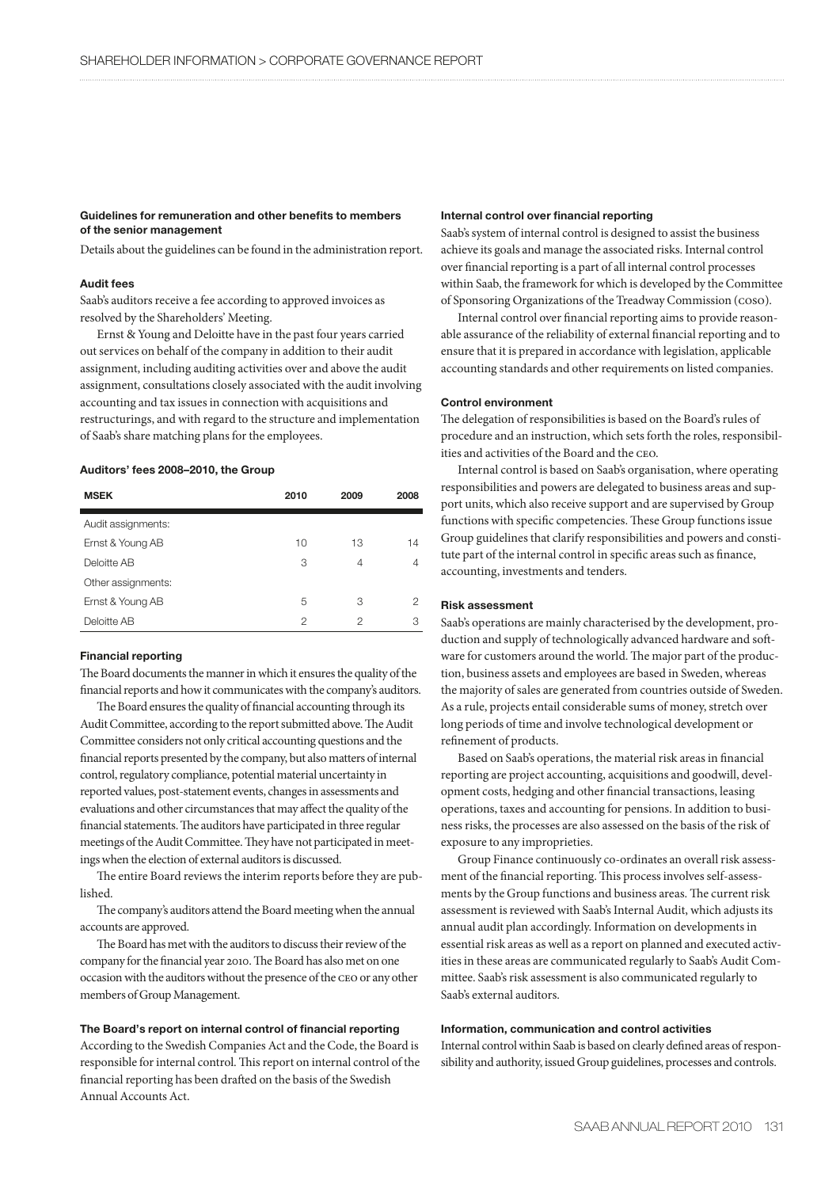## **Guidelines for remuneration and other benefits to members of the senior management**

Details about the guidelines can be found in the administration report.

## **Audit fees**

Saab's auditors receive a fee according to approved invoices as resolved by the Shareholders' Meeting.

Ernst & Young and Deloitte have in the past four years carried out services on behalf of the company in addition to their audit assignment, including auditing activities over and above the audit assignment, consultations closely associated with the audit involving accounting and tax issues in connection with acquisitions and restructurings, and with regard to the structure and implementation of Saab's share matching plans for the employees.

# **Auditors' fees 2008–2010, the Group**

| <b>MSEK</b>        | 2010 | 2009 | 2008 |
|--------------------|------|------|------|
| Audit assignments: |      |      |      |
| Ernst & Young AB   | 10   | 13   | 14   |
| Deloitte AB        | 3    | 4    | 4    |
| Other assignments: |      |      |      |
| Ernst & Young AB   | 5    | З    | 2    |
| Deloitte AB        | 2    | 2    | З    |

## **Financial reporting**

The Board documents the manner in which it ensures the quality of the financial reports and how it communicates with the company's auditors.

The Board ensures the quality of financial accounting through its Audit Committee, according to the report submitted above. The Audit Committee considers not only critical accounting questions and the financial reports presented by the company, but also matters of internal control, regulatory compliance, potential material uncertainty in reported values, post-statement events, changes in assessments and evaluations and other circumstances that may affect the quality of the financial statements. The auditors have participated in three regular meetings of the Audit Committee. They have not participated in meetings when the election of external auditors is discussed.

The entire Board reviews the interim reports before they are published.

The company's auditors attend the Board meeting when the annual accounts are approved.

The Board has met with the auditors to discuss their review of the company for the financial year 2010. The Board has also met on one occasion with the auditors without the presence of the ceo or any other members of Group Management.

# **The Board's report on internal control of financial reporting**

According to the Swedish Companies Act and the Code, the Board is responsible for internal control. This report on internal control of the financial reporting has been drafted on the basis of the Swedish Annual Accounts Act.

## **Internal control over financial reporting**

Saab's system of internal control is designed to assist the business achieve its goals and manage the associated risks. Internal control over financial reporting is a part of all internal control processes within Saab, the framework for which is developed by the Committee of Sponsoring Organizations of the Treadway Commission (coso).

Internal control over financial reporting aims to provide reasonable assurance of the reliability of external financial reporting and to ensure that it is prepared in accordance with legislation, applicable accounting standards and other requirements on listed companies.

## **Control environment**

The delegation of responsibilities is based on the Board's rules of procedure and an instruction, which sets forth the roles, responsibilities and activities of the Board and the ceo.

Internal control is based on Saab's organisation, where operating responsibilities and powers are delegated to business areas and support units, which also receive support and are supervised by Group functions with specific competencies. These Group functions issue Group guidelines that clarify responsibilities and powers and constitute part of the internal control in specific areas such as finance, accounting, investments and tenders.

## **Risk assessment**

Saab's operations are mainly characterised by the development, production and supply of technologically advanced hardware and software for customers around the world. The major part of the production, business assets and employees are based in Sweden, whereas the majority of sales are generated from countries outside of Sweden. As a rule, projects entail considerable sums of money, stretch over long periods of time and involve technological development or refinement of products.

Based on Saab's operations, the material risk areas in financial reporting are project accounting, acquisitions and goodwill, development costs, hedging and other financial transactions, leasing operations, taxes and accounting for pensions. In addition to business risks, the processes are also assessed on the basis of the risk of exposure to any improprieties.

Group Finance continuously co-ordinates an overall risk assessment of the financial reporting. This process involves self-assessments by the Group functions and business areas. The current risk assessment is reviewed with Saab's Internal Audit, which adjusts its annual audit plan accordingly. Information on developments in essential risk areas as well as a report on planned and executed activities in these areas are communicated regularly to Saab's Audit Committee. Saab's risk assessment is also communicated regularly to Saab's external auditors.

# **Information, communication and control activities**

Internal control within Saab is based on clearly defined areas of responsibility and authority, issued Group guidelines, processes and controls.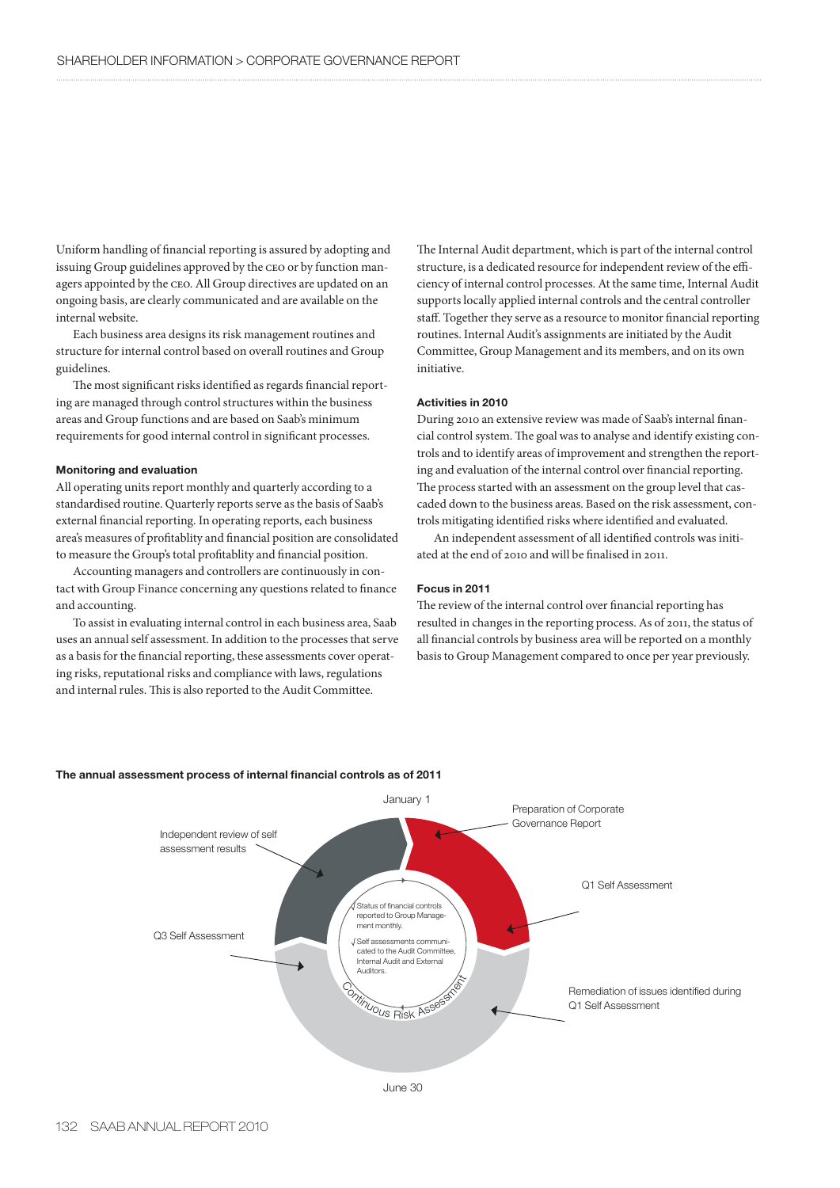Uniform handling of financial reporting is assured by adopting and issuing Group guidelines approved by the ceo or by function managers appointed by the ceo. All Group directives are updated on an ongoing basis, are clearly communicated and are available on the internal website.

Each business area designs its risk management routines and structure for internal control based on overall routines and Group guidelines.

The most significant risks identified as regards financial reporting are managed through control structures within the business areas and Group functions and are based on Saab's minimum requirements for good internal control in significant processes.

## **Monitoring and evaluation**

All operating units report monthly and quarterly according to a standardised routine. Quarterly reports serve as the basis of Saab's external financial reporting. In operating reports, each business area's measures of profitablity and financial position are consolidated to measure the Group's total profitablity and financial position.

Accounting managers and controllers are continuously in contact with Group Finance concerning any questions related to finance and accounting.

To assist in evaluating internal control in each business area, Saab uses an annual self assessment. In addition to the processes that serve as a basis for the financial reporting, these assessments cover operating risks, reputational risks and compliance with laws, regulations and internal rules. This is also reported to the Audit Committee.

The Internal Audit department, which is part of the internal control structure, is a dedicated resource for independent review of the efficiency of internal control processes. At the same time, Internal Audit supports locally applied internal controls and the central controller staff. Together they serve as a resource to monitor financial reporting routines. Internal Audit's assignments are initiated by the Audit Committee, Group Management and its members, and on its own initiative.

# **Activities in 2010**

During 2010 an extensive review was made of Saab's internal financial control system. The goal was to analyse and identify existing controls and to identify areas of improvement and strengthen the reporting and evaluation of the internal control over financial reporting. The process started with an assessment on the group level that cascaded down to the business areas. Based on the risk assessment, controls mitigating identified risks where identified and evaluated.

An independent assessment of all identified controls was initiated at the end of 2010 and will be finalised in 2011.

## **Focus in 2011**

The review of the internal control over financial reporting has resulted in changes in the reporting process. As of 2011, the status of all financial controls by business area will be reported on a monthly basis to Group Management compared to once per year previously.



#### **The annual assessment process of internal financial controls as of 2011**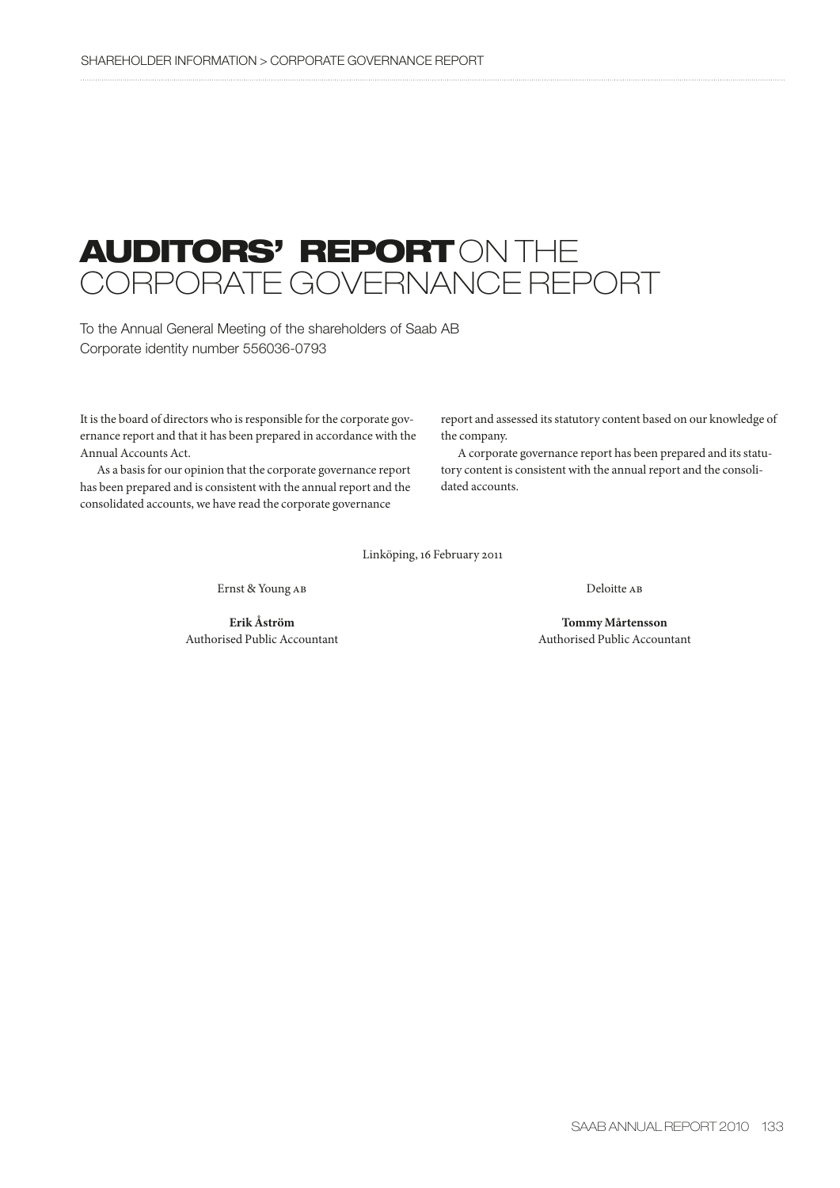# **AUDITORS' REPORT** ON THE CORPORATE GOVERNANCE REPORT

To the Annual General Meeting of the shareholders of Saab AB Corporate identity number 556036-0793

It is the board of directors who is responsible for the corporate governance report and that it has been prepared in accordance with the Annual Accounts Act.

As a basis for our opinion that the corporate governance report has been prepared and is consistent with the annual report and the consolidated accounts, we have read the corporate governance

report and assessed its statutory content based on our knowledge of the company.

A corporate governance report has been prepared and its statutory content is consistent with the annual report and the consolidated accounts.

Linköping, 16 February 2011

Ernst & Young ab Deloitte ab

 **Erik Åström Tommy Mårtensson** Authorised Public Accountant Authorised Public Accountant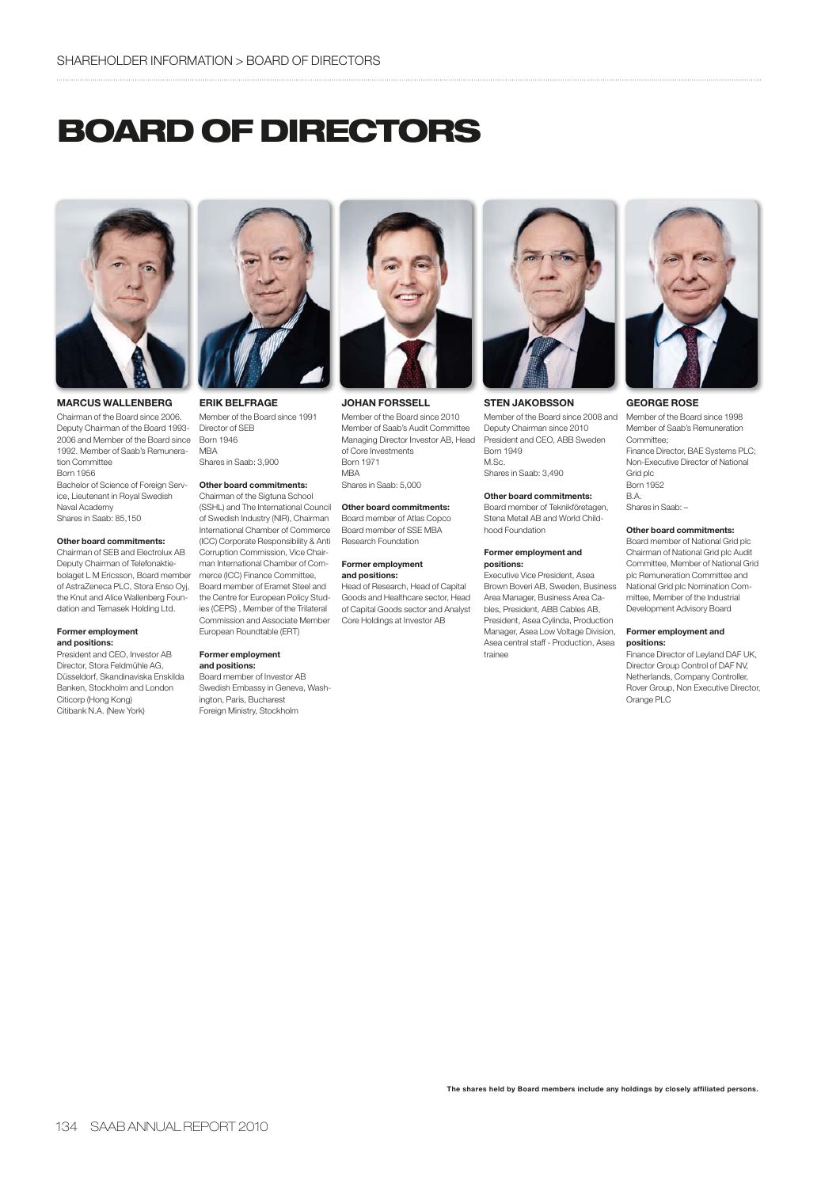# **BOARD OF DIRECTORS**



**MARCUS WALLENBERG**

Chairman of the Board since 2006. Deputy Chairman of the Board 1993- 2006 and Member of the Board since Born 1946 1992. Member of Saab's Remuneration Committee Born 1956

Bachelor of Science of Foreign Service, Lieutenant in Royal Swedish Naval Academy Shares in Saab: 85,150

## **Other board commitments:**

Chairman of SEB and Electrolux AB Deputy Chairman of Telefonaktiebolaget L M Ericsson, Board member of AstraZeneca PLC, Stora Enso Oyj, the Knut and Alice Wallenberg Foundation and Temasek Holding Ltd.

#### **Former employment and positions:**

President and CEO, Investor AB Director, Stora Feldmühle AG, Düsseldorf, Skandinaviska Enskilda Banken, Stockholm and London Citicorp (Hong Kong) Citibank N.A. (New York)



**ERIK BELFRAGE** Member of the Board since 1991 Director of SEB M<sub>R</sub>A

Shares in Saab: 3,900

# **Other board commitments:**

Chairman of the Sigtuna School (SSHL) and The International Council of Swedish Industry (NIR), Chairman International Chamber of Commerce (ICC) Corporate Responsibility & Anti Corruption Commission, Vice Chairman International Chamber of Commerce (ICC) Finance Committee, Board member of Eramet Steel and the Centre for European Policy Studies (CEPS) , Member of the Trilateral Commission and Associate Member European Roundtable (ERT)

#### **Former employment and positions:**

Board member of Investor AB Swedish Embassy in Geneva, Washington, Paris, Bucharest Foreign Ministry, Stockholm



**JOHAN FORSSELL**

Member of the Board since 2010 Member of Saab's Audit Committee Managing Director Investor AB, Head of Core Investments Born 1971 MBA

Shares in Saab: 5,000

#### **Other board commitments:**

Board member of Atlas Copco Board member of SSE MBA Research Foundation

#### **Former employment and positions:**

Head of Research, Head of Capital Goods and Healthcare sector, Head of Capital Goods sector and Analyst Core Holdings at Investor AB



**STEN JAKOBSSON**

Member of the Board since 2008 and Deputy Chairman since 2010 President and CEO, ABB Sweden Born 1949 M.Sc. Shares in Saab: 3,490

#### **Other board commitments:**

Board member of Teknikföretagen, Stena Metall AB and World Childhood Foundation

#### **Former employment and positions:**

Executive Vice President, Asea Brown Boveri AB, Sweden, Business Area Manager, Business Area Cables, President, ABB Cables AB, President, Asea Cylinda, Production Manager, Asea Low Voltage Division, Asea central staff - Production, Asea trainee



## **GEORGE ROSE**

Member of the Board since 1998 Member of Saab's Remuneration Committee; Finance Director, BAE Systems PLC; Non-Executive Director of National Grid plc Born 1952 B.A. Shares in Saab: –

## **Other board commitments:**

Board member of National Grid plc Chairman of National Grid plc Audit Committee, Member of National Grid plc Remuneration Committee and National Grid plc Nomination Committee, Member of the Industrial Development Advisory Board

#### **Former employment and positions:**

Finance Director of Leyland DAF UK, Director Group Control of DAF NV, Netherlands, Company Controller, Rover Group, Non Executive Director, Orange PLC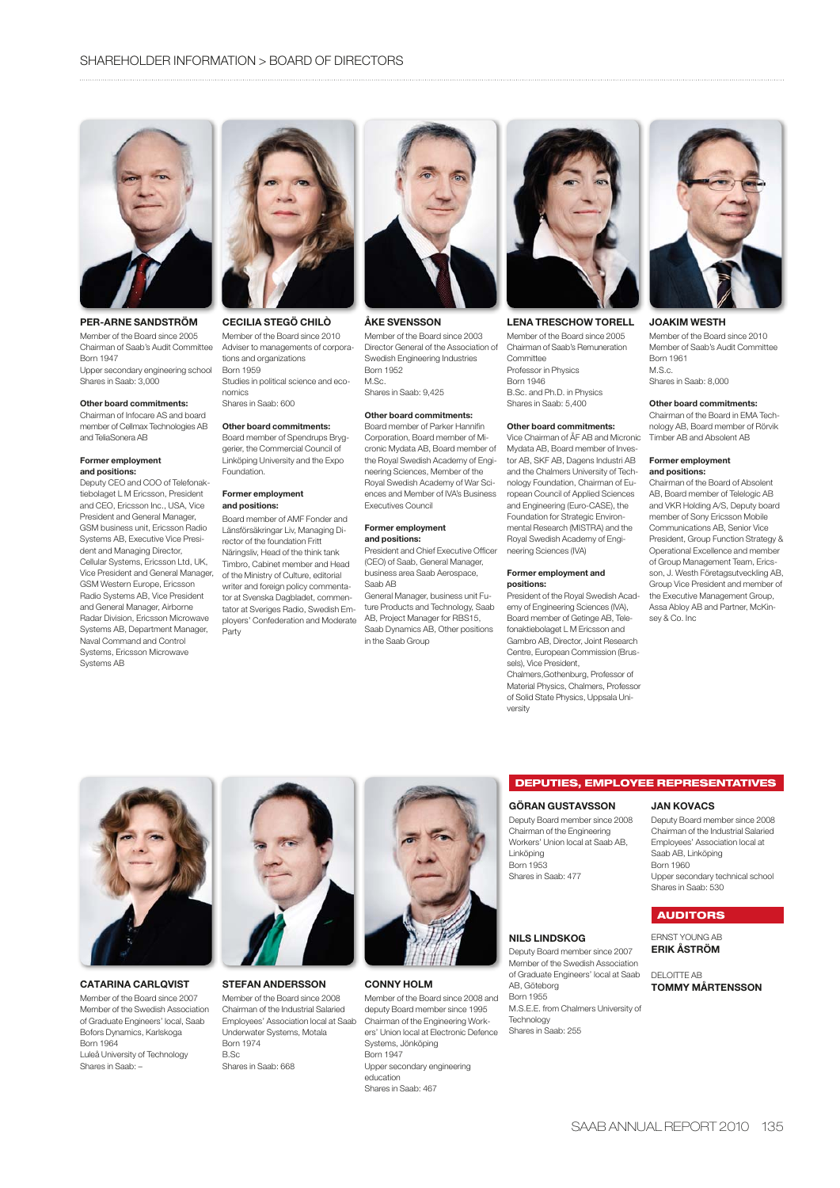

# **PER-ARNE SANDSTRÖM**

Member of the Board since 2005 Chairman of Saab's Audit Committee Born 1947

Upper secondary engineering school Shares in Saab: 3,000

#### **Other board commitments:**

Chairman of Infocare AS and board member of Cellmax Technologies AB and TeliaSonera AB

#### **Former employment and positions:**

Deputy CEO and COO of Telefonaktiebolaget L M Ericsson, President and CEO, Ericsson Inc., USA, Vice President and General Manager, GSM business unit, Ericsson Radio Systems AB, Executive Vice President and Managing Director, Cellular Systems, Ericsson Ltd, UK, Vice President and General Manager, GSM Western Europe, Ericsson Radio Systems AB, Vice President and General Manager, Airborne Radar Division, Ericsson Microwave Systems AB, Department Manager, Naval Command and Control Systems, Ericsson Microwave Systems AB



## **CECILIA STEGÖ CHILÒ**

Member of the Board since 2010 Adviser to managements of corporations and organizations Born 1959 Studies in political science and economics

#### Shares in Saab: 600

**Other board commitments:** Board member of Spendrups Bryggerier, the Commercial Council of Linköping University and the Expo Foundation.

#### **Former employment and positions:**

Board member of AMF Fonder and Länsförsäkringar Liv, Managing Director of the foundation Fritt Näringsliv, Head of the think tank Timbro, Cabinet member and Head of the Ministry of Culture, editorial writer and foreign policy commentator at Svenska Dagbladet, commentator at Sveriges Radio, Swedish Employers' Confederation and Moderate Party



## **ÅKE SVENSSON**

Member of the Board since 2003 Director General of the Association of Swedish Engineering Industries Born 1952 M.Sc. Shares in Saab: 9,425

#### **Other board commitments:**

Board member of Parker Hannifin Corporation, Board member of Micronic Mydata AB, Board member of the Royal Swedish Academy of Engineering Sciences, Member of the Royal Swedish Academy of War Sciences and Member of IVA's Business Executives Council

#### **Former employment and positions:**

President and Chief Executive Officer (CEO) of Saab, General Manager, business area Saab Aerospace, Saah AB

General Manager, business unit Future Products and Technology, Saab AB, Project Manager for RBS15, Saab Dynamics AB, Other positions in the Saab Group



## **LENA TRESCHOW TORELL**

Member of the Board since 2005 Chairman of Saab's Remuneration Committee Professor in Physics Born 1946 B.Sc. and Ph.D. in Physics Shares in Saab: 5,400

#### **Other board commitments:**

Vice Chairman of ÅF AB and Micronic Mydata AB, Board member of Investor AB, SKF AB, Dagens Industri AB and the Chalmers University of Technology Foundation, Chairman of European Council of Applied Sciences and Engineering (Euro-CASE), the Foundation for Strategic Environmental Research (MISTRA) and the Royal Swedish Academy of Engineering Sciences (IVA)

#### **Former employment and positions:**

President of the Royal Swedish Academy of Engineering Sciences (IVA), Board member of Getinge AB, Telefonaktiebolaget L M Ericsson and Gambro AB, Director, Joint Research Centre, European Commission (Brussels), Vice President, Chalmers,Gothenburg, Professor of Material Physics, Chalmers, Professor of Solid State Physics, Uppsala University



#### **JOAKIM WESTH**

Member of the Board since 2010 Member of Saab's Audit Committee Born 1961  $M.S.c.$ Shares in Saab: 8,000

#### **Other board commitments:**

Chairman of the Board in EMA Technology AB, Board member of Rörvik Timber AB and Absolent AB

#### **Former employment and positions:**

Chairman of the Board of Absolent AB, Board member of Telelogic AB and VKR Holding A/S, Deputy board member of Sony Ericsson Mobile Communications AB, Senior Vice President, Group Function Strategy & Operational Excellence and member of Group Management Team, Ericsson, J. Westh Företagsutveckling AB, Group Vice President and member of the Executive Management Group, Assa Abloy AB and Partner, McKinsey & Co. Inc



Member of the Board since 2007 Member of the Swedish Association of Graduate Engineers' local, Saab Bofors Dynamics, Karlskoga Born 1964

Luleå University of Technology Shares in Saab: –



#### **STEFAN ANDERSSON** Member of the Board since 2008

Chairman of the Industrial Salaried Employees' Association local at Saab Underwater Systems, Motala Born 1974 B.Sc Shares in Saab: 668



#### **CONNY HOLM**

Member of the Board since 2008 and deputy Board member since 1995 Chairman of the Engineering Workers' Union local at Electronic Defence Systems, Jönköping Born 1947 Upper secondary engineering education Shares in Saab: 467

## **DEPUTIES, EMPLOYEE REPRESENTATIVES**

# **GÖRAN GUSTAVSSON**

Deputy Board member since 2008 Chairman of the Engineering Workers' Union local at Saab AB, Linköping Born 1953 Shares in Saab: 477

## **NILS LINDSKOG**

Deputy Board member since 2007 Member of the Swedish Association of Graduate Engineers' local at Saab AB, Göteborg Born 1955 M.S.E.E. from Chalmers University of Technology Shares in Saab: 255

## **JAN KOVACS**

Deputy Board member since 2008 Chairman of the Industrial Salaried Employees' Association local at Saab AB, Linköping Born 1960 Upper secondary technical school Shares in Saab: 530

# **AUDITORS** ERNST YOUNG AB

**ERIK ÅSTRÖM** DELOITTE AB

**TOMMY MÅRTENSSON**